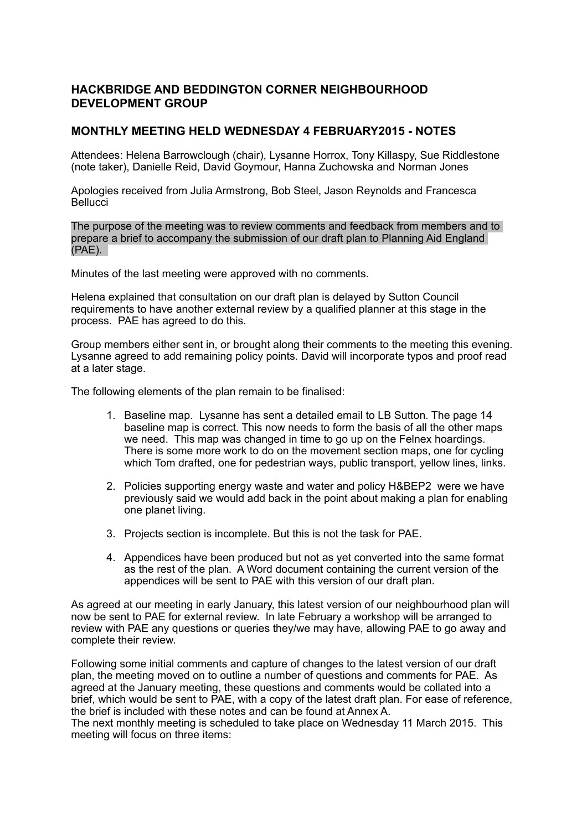### **HACKBRIDGE AND BEDDINGTON CORNER NEIGHBOURHOOD DEVELOPMENT GROUP**

#### **MONTHLY MEETING HELD WEDNESDAY 4 FEBRUARY2015 - NOTES**

Attendees: Helena Barrowclough (chair), Lysanne Horrox, Tony Killaspy, Sue Riddlestone (note taker), Danielle Reid, David Goymour, Hanna Zuchowska and Norman Jones

Apologies received from Julia Armstrong, Bob Steel, Jason Reynolds and Francesca **Bellucci** 

The purpose of the meeting was to review comments and feedback from members and to prepare a brief to accompany the submission of our draft plan to Planning Aid England (PAE).

Minutes of the last meeting were approved with no comments.

Helena explained that consultation on our draft plan is delayed by Sutton Council requirements to have another external review by a qualified planner at this stage in the process. PAE has agreed to do this.

Group members either sent in, or brought along their comments to the meeting this evening. Lysanne agreed to add remaining policy points. David will incorporate typos and proof read at a later stage.

The following elements of the plan remain to be finalised:

- 1. Baseline map. Lysanne has sent a detailed email to LB Sutton. The page 14 baseline map is correct. This now needs to form the basis of all the other maps we need. This map was changed in time to go up on the Felnex hoardings. There is some more work to do on the movement section maps, one for cycling which Tom drafted, one for pedestrian ways, public transport, yellow lines, links.
- 2. Policies supporting energy waste and water and policy H&BEP2 were we have previously said we would add back in the point about making a plan for enabling one planet living.
- 3. Projects section is incomplete. But this is not the task for PAE.
- 4. Appendices have been produced but not as yet converted into the same format as the rest of the plan. A Word document containing the current version of the appendices will be sent to PAE with this version of our draft plan.

As agreed at our meeting in early January, this latest version of our neighbourhood plan will now be sent to PAE for external review. In late February a workshop will be arranged to review with PAE any questions or queries they/we may have, allowing PAE to go away and complete their review.

Following some initial comments and capture of changes to the latest version of our draft plan, the meeting moved on to outline a number of questions and comments for PAE. As agreed at the January meeting, these questions and comments would be collated into a brief, which would be sent to PAE, with a copy of the latest draft plan. For ease of reference, the brief is included with these notes and can be found at Annex A.

The next monthly meeting is scheduled to take place on Wednesday 11 March 2015. This meeting will focus on three items: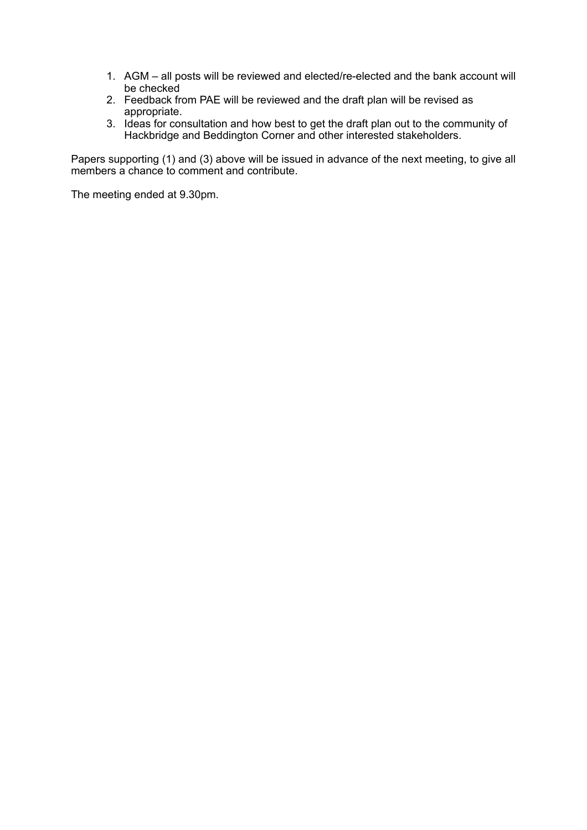- 1. AGM all posts will be reviewed and elected/re-elected and the bank account will be checked
- 2. Feedback from PAE will be reviewed and the draft plan will be revised as appropriate.
- 3. Ideas for consultation and how best to get the draft plan out to the community of Hackbridge and Beddington Corner and other interested stakeholders.

Papers supporting (1) and (3) above will be issued in advance of the next meeting, to give all members a chance to comment and contribute.

The meeting ended at 9.30pm.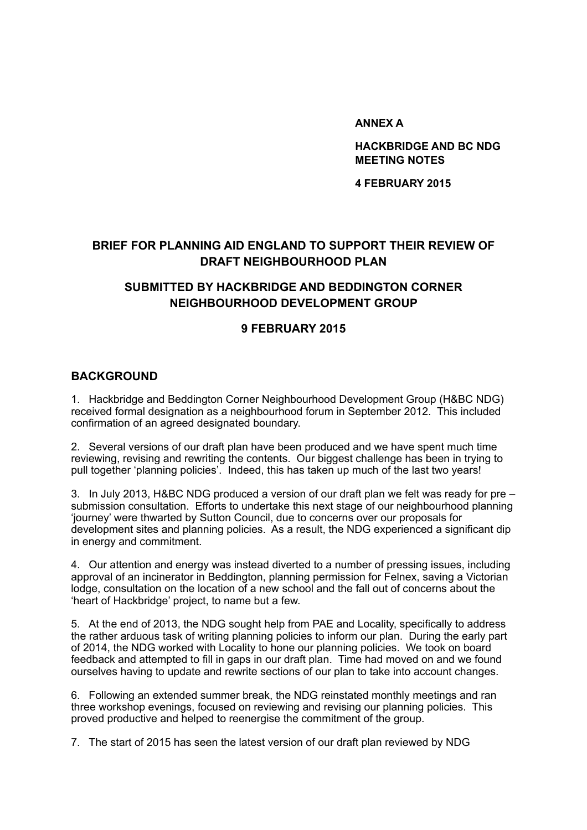#### **ANNEX A**

**HACKBRIDGE AND BC NDG MEETING NOTES** 

**4 FEBRUARY 2015**

# **BRIEF FOR PLANNING AID ENGLAND TO SUPPORT THEIR REVIEW OF DRAFT NEIGHBOURHOOD PLAN**

# **SUBMITTED BY HACKBRIDGE AND BEDDINGTON CORNER NEIGHBOURHOOD DEVELOPMENT GROUP**

## **9 FEBRUARY 2015**

### **BACKGROUND**

1. Hackbridge and Beddington Corner Neighbourhood Development Group (H&BC NDG) received formal designation as a neighbourhood forum in September 2012. This included confirmation of an agreed designated boundary.

2. Several versions of our draft plan have been produced and we have spent much time reviewing, revising and rewriting the contents. Our biggest challenge has been in trying to pull together 'planning policies'. Indeed, this has taken up much of the last two years!

3. In July 2013, H&BC NDG produced a version of our draft plan we felt was ready for pre – submission consultation. Efforts to undertake this next stage of our neighbourhood planning 'journey' were thwarted by Sutton Council, due to concerns over our proposals for development sites and planning policies. As a result, the NDG experienced a significant dip in energy and commitment.

4. Our attention and energy was instead diverted to a number of pressing issues, including approval of an incinerator in Beddington, planning permission for Felnex, saving a Victorian lodge, consultation on the location of a new school and the fall out of concerns about the 'heart of Hackbridge' project, to name but a few.

5. At the end of 2013, the NDG sought help from PAE and Locality, specifically to address the rather arduous task of writing planning policies to inform our plan. During the early part of 2014, the NDG worked with Locality to hone our planning policies. We took on board feedback and attempted to fill in gaps in our draft plan. Time had moved on and we found ourselves having to update and rewrite sections of our plan to take into account changes.

6. Following an extended summer break, the NDG reinstated monthly meetings and ran three workshop evenings, focused on reviewing and revising our planning policies. This proved productive and helped to reenergise the commitment of the group.

7. The start of 2015 has seen the latest version of our draft plan reviewed by NDG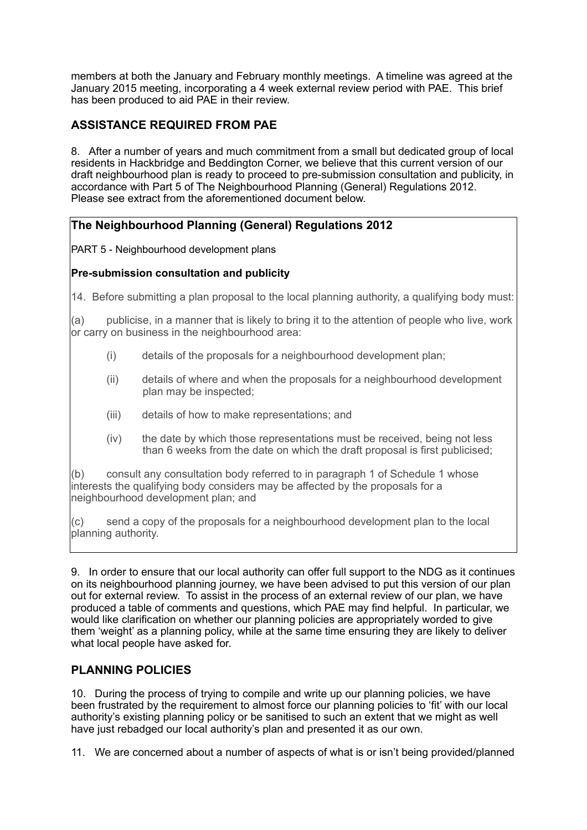members at both the January and February monthly meetings. A timeline was agreed at the January 2015 meeting, incorporating a 4 week external review period with PAE. This brief has been produced to aid PAE in their review.

## **ASSISTANCE REQUIRED FROM PAE**

8. After a number of years and much commitment from a small but dedicated group of local residents in Hackbridge and Beddington Corner, we believe that this current version of our draft neighbourhood plan is ready to proceed to pre-submission consultation and publicity, in accordance with Part 5 of The Neighbourhood Planning (General) Regulations 2012. Please see extract from the aforementioned document below.

## **The Neighbourhood Planning (General) Regulations 2012**

PART 5 - Neighbourhood development plans

### **Pre-submission consultation and publicity**

14. Before submitting a plan proposal to the local planning authority, a qualifying body must:

 $(a)$  publicise, in a manner that is likely to bring it to the attention of people who live, work or carry on business in the neighbourhood area:

- (i) details of the proposals for a neighbourhood development plan;
- (ii) details of where and when the proposals for a neighbourhood development plan may be inspected;
- (iii) details of how to make representations; and
- (iv) the date by which those representations must be received, being not less than 6 weeks from the date on which the draft proposal is first publicised;

(b) consult any consultation body referred to in paragraph 1 of Schedule 1 whose interests the qualifying body considers may be affected by the proposals for a neighbourhood development plan; and

(c) send a copy of the proposals for a neighbourhood development plan to the local planning authority.

9. In order to ensure that our local authority can offer full support to the NDG as it continues on its neighbourhood planning journey, we have been advised to put this version of our plan out for external review. To assist in the process of an external review of our plan, we have produced a table of comments and questions, which PAE may find helpful. In particular, we would like clarification on whether our planning policies are appropriately worded to give them 'weight' as a planning policy, while at the same time ensuring they are likely to deliver what local people have asked for.

## **PLANNING POLICIES**

10. During the process of trying to compile and write up our planning policies, we have been frustrated by the requirement to almost force our planning policies to 'fit' with our local authority's existing planning policy or be sanitised to such an extent that we might as well have just rebadged our local authority's plan and presented it as our own.

11. We are concerned about a number of aspects of what is or isn't being provided/planned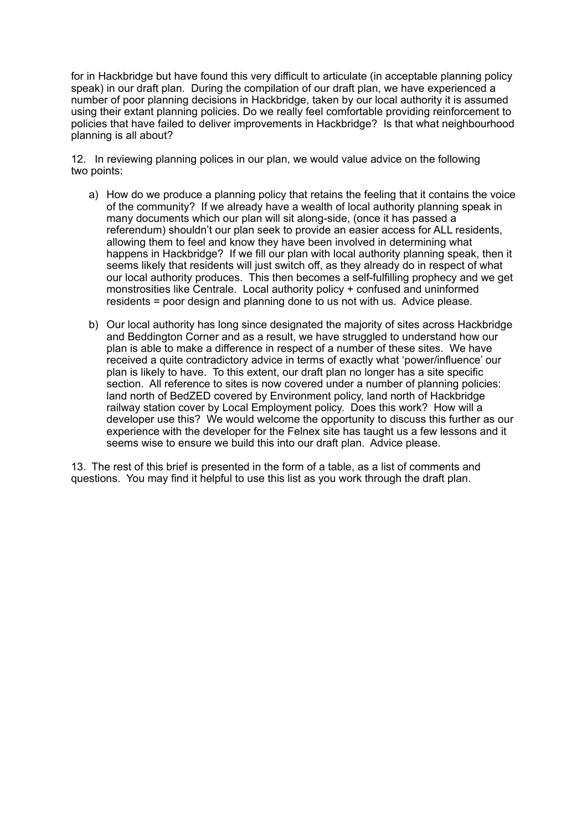for in Hackbridge but have found this very difficult to articulate (in acceptable planning policy speak) in our draft plan. During the compilation of our draft plan, we have experienced a number of poor planning decisions in Hackbridge, taken by our local authority it is assumed using their extant planning policies. Do we really feel comfortable providing reinforcement to policies that have failed to deliver improvements in Hackbridge? Is that what neighbourhood planning is all about?

12. In reviewing planning polices in our plan, we would value advice on the following two points:

- a) How do we produce a planning policy that retains the feeling that it contains the voice of the community? If we already have a wealth of local authority planning speak in many documents which our plan will sit along-side, (once it has passed a referendum) shouldn't our plan seek to provide an easier access for ALL residents, allowing them to feel and know they have been involved in determining what happens in Hackbridge? If we fill our plan with local authority planning speak, then it seems likely that residents will just switch off, as they already do in respect of what our local authority produces. This then becomes a self-fulfilling prophecy and we get monstrosities like Centrale. Local authority policy + confused and uninformed residents = poor design and planning done to us not with us. Advice please.
- b) Our local authority has long since designated the majority of sites across Hackbridge and Beddington Corner and as a result, we have struggled to understand how our plan is able to make a difference in respect of a number of these sites. We have received a quite contradictory advice in terms of exactly what 'power/influence' our plan is likely to have. To this extent, our draft plan no longer has a site specific section. All reference to sites is now covered under a number of planning policies: land north of BedZED covered by Environment policy, land north of Hackbridge railway station cover by Local Employment policy. Does this work? How will a developer use this? We would welcome the opportunity to discuss this further as our experience with the developer for the Felnex site has taught us a few lessons and it seems wise to ensure we build this into our draft plan. Advice please.

13. The rest of this brief is presented in the form of a table, as a list of comments and questions. You may find it helpful to use this list as you work through the draft plan.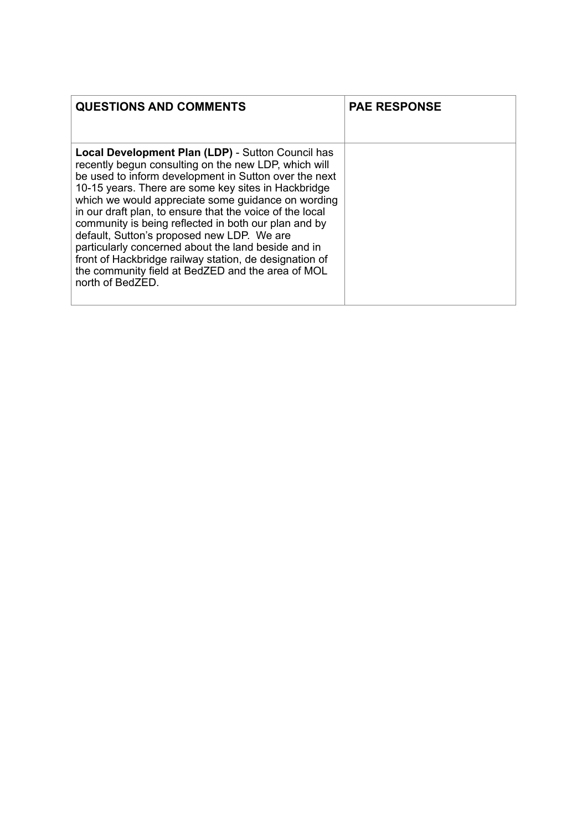| <b>QUESTIONS AND COMMENTS</b>                                                                                                                                                                                                                                                                                                                                                                                                                                                                                                                                                                                                                      | <b>PAE RESPONSE</b> |
|----------------------------------------------------------------------------------------------------------------------------------------------------------------------------------------------------------------------------------------------------------------------------------------------------------------------------------------------------------------------------------------------------------------------------------------------------------------------------------------------------------------------------------------------------------------------------------------------------------------------------------------------------|---------------------|
| <b>Local Development Plan (LDP)</b> - Sutton Council has<br>recently begun consulting on the new LDP, which will<br>be used to inform development in Sutton over the next<br>10-15 years. There are some key sites in Hackbridge<br>which we would appreciate some guidance on wording<br>in our draft plan, to ensure that the voice of the local<br>community is being reflected in both our plan and by<br>default, Sutton's proposed new LDP. We are<br>particularly concerned about the land beside and in<br>front of Hackbridge railway station, de designation of<br>the community field at BedZED and the area of MOL<br>north of BedZED. |                     |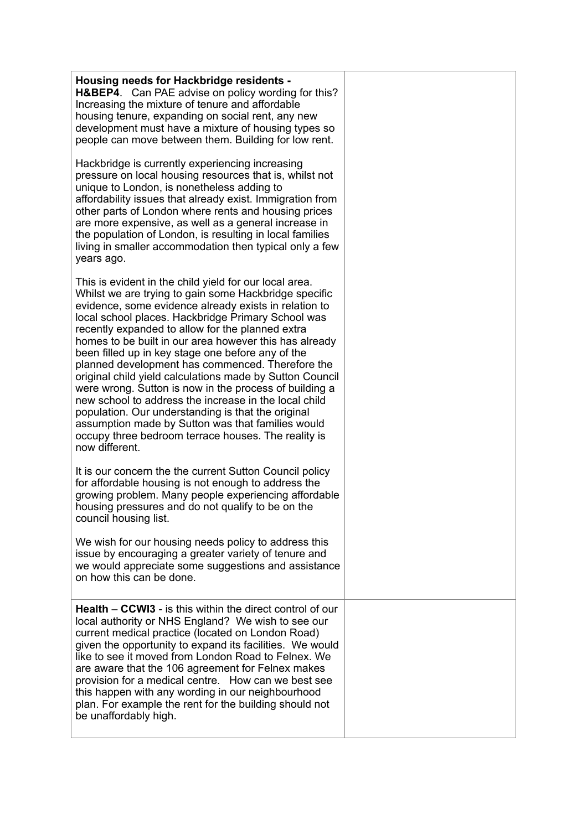| Housing needs for Hackbridge residents -<br><b>H&amp;BEP4.</b> Can PAE advise on policy wording for this?<br>Increasing the mixture of tenure and affordable<br>housing tenure, expanding on social rent, any new<br>development must have a mixture of housing types so<br>people can move between them. Building for low rent.                                                                                                                                                                                                                                                                                                                                                                                                                                                                                         |  |
|--------------------------------------------------------------------------------------------------------------------------------------------------------------------------------------------------------------------------------------------------------------------------------------------------------------------------------------------------------------------------------------------------------------------------------------------------------------------------------------------------------------------------------------------------------------------------------------------------------------------------------------------------------------------------------------------------------------------------------------------------------------------------------------------------------------------------|--|
| Hackbridge is currently experiencing increasing<br>pressure on local housing resources that is, whilst not<br>unique to London, is nonetheless adding to<br>affordability issues that already exist. Immigration from<br>other parts of London where rents and housing prices<br>are more expensive, as well as a general increase in<br>the population of London, is resulting in local families<br>living in smaller accommodation then typical only a few<br>years ago.                                                                                                                                                                                                                                                                                                                                               |  |
| This is evident in the child yield for our local area.<br>Whilst we are trying to gain some Hackbridge specific<br>evidence, some evidence already exists in relation to<br>local school places. Hackbridge Primary School was<br>recently expanded to allow for the planned extra<br>homes to be built in our area however this has already<br>been filled up in key stage one before any of the<br>planned development has commenced. Therefore the<br>original child yield calculations made by Sutton Council<br>were wrong. Sutton is now in the process of building a<br>new school to address the increase in the local child<br>population. Our understanding is that the original<br>assumption made by Sutton was that families would<br>occupy three bedroom terrace houses. The reality is<br>now different. |  |
| It is our concern the the current Sutton Council policy<br>for affordable housing is not enough to address the<br>growing problem. Many people experiencing affordable<br>housing pressures and do not qualify to be on the<br>council housing list.                                                                                                                                                                                                                                                                                                                                                                                                                                                                                                                                                                     |  |
| We wish for our housing needs policy to address this<br>issue by encouraging a greater variety of tenure and<br>we would appreciate some suggestions and assistance<br>on how this can be done.                                                                                                                                                                                                                                                                                                                                                                                                                                                                                                                                                                                                                          |  |
| <b>Health – CCWI3</b> - is this within the direct control of our<br>local authority or NHS England? We wish to see our<br>current medical practice (located on London Road)<br>given the opportunity to expand its facilities. We would<br>like to see it moved from London Road to Felnex. We<br>are aware that the 106 agreement for Felnex makes<br>provision for a medical centre. How can we best see<br>this happen with any wording in our neighbourhood<br>plan. For example the rent for the building should not<br>be unaffordably high.                                                                                                                                                                                                                                                                       |  |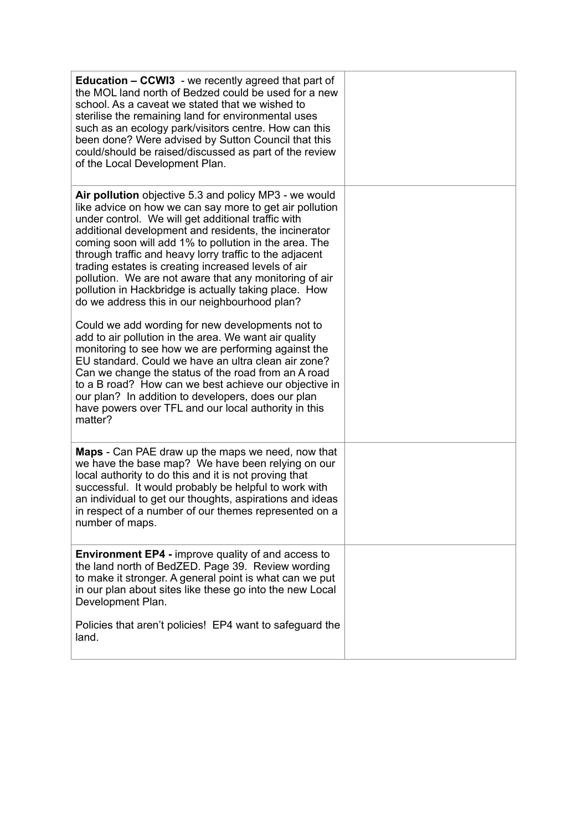| <b>Education – CCWI3</b> - we recently agreed that part of<br>the MOL land north of Bedzed could be used for a new<br>school. As a caveat we stated that we wished to<br>sterilise the remaining land for environmental uses<br>such as an ecology park/visitors centre. How can this<br>been done? Were advised by Sutton Council that this<br>could/should be raised/discussed as part of the review<br>of the Local Development Plan.                                                                                                                                                                                                                                                                                                                                                                                                                                                                                                                                                                                                           |  |
|----------------------------------------------------------------------------------------------------------------------------------------------------------------------------------------------------------------------------------------------------------------------------------------------------------------------------------------------------------------------------------------------------------------------------------------------------------------------------------------------------------------------------------------------------------------------------------------------------------------------------------------------------------------------------------------------------------------------------------------------------------------------------------------------------------------------------------------------------------------------------------------------------------------------------------------------------------------------------------------------------------------------------------------------------|--|
| Air pollution objective 5.3 and policy MP3 - we would<br>like advice on how we can say more to get air pollution<br>under control. We will get additional traffic with<br>additional development and residents, the incinerator<br>coming soon will add 1% to pollution in the area. The<br>through traffic and heavy lorry traffic to the adjacent<br>trading estates is creating increased levels of air<br>pollution. We are not aware that any monitoring of air<br>pollution in Hackbridge is actually taking place. How<br>do we address this in our neighbourhood plan?<br>Could we add wording for new developments not to<br>add to air pollution in the area. We want air quality<br>monitoring to see how we are performing against the<br>EU standard. Could we have an ultra clean air zone?<br>Can we change the status of the road from an A road<br>to a B road? How can we best achieve our objective in<br>our plan? In addition to developers, does our plan<br>have powers over TFL and our local authority in this<br>matter? |  |
| <b>Maps</b> - Can PAE draw up the maps we need, now that<br>we have the base map? We have been relying on our<br>local authority to do this and it is not proving that<br>successful. It would probably be helpful to work with<br>an individual to get our thoughts, aspirations and ideas<br>in respect of a number of our themes represented on a<br>number of maps.                                                                                                                                                                                                                                                                                                                                                                                                                                                                                                                                                                                                                                                                            |  |
| <b>Environment EP4 - improve quality of and access to</b><br>the land north of BedZED. Page 39. Review wording<br>to make it stronger. A general point is what can we put<br>in our plan about sites like these go into the new Local<br>Development Plan.                                                                                                                                                                                                                                                                                                                                                                                                                                                                                                                                                                                                                                                                                                                                                                                         |  |
| Policies that aren't policies! EP4 want to safeguard the<br>land.                                                                                                                                                                                                                                                                                                                                                                                                                                                                                                                                                                                                                                                                                                                                                                                                                                                                                                                                                                                  |  |